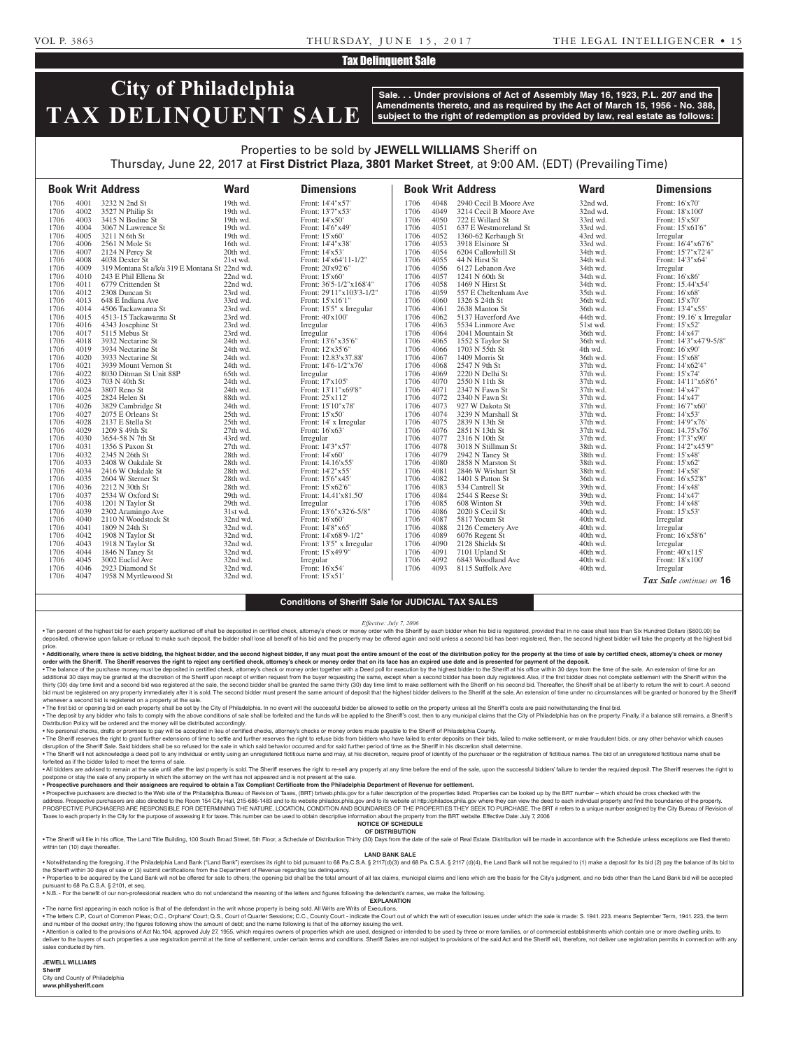## Tax Delinquent Sale

# **City of Philadelphia TAX DELINQUENT SALE**

**Sale. . . Under provisions of Act of Assembly May 16, 1923, P.L. 207 and the Amendments thereto, and as required by the Act of March 15, 1956 - No. 388, subject to the right of redemption as provided by law, real estate as follows:**

## Properties to be sold by **JEWELL WILLIAMS** Sheriff on Thursday, June 22, 2017 at **First District Plaza, 3801 Market Street**, at 9:00 AM. (EDT) (Prevailing Time)

|      |      | <b>Book Writ Address</b>                       | <b>Ward</b> | <b>Dimensions</b>        |      |      | <b>Book Writ Address</b> | <b>Ward</b> | <b>Dimensions</b>         |
|------|------|------------------------------------------------|-------------|--------------------------|------|------|--------------------------|-------------|---------------------------|
| 1706 | 4001 | 3232 N 2nd St                                  | 19th wd.    | Front: 14'4"x57'         | 1706 | 4048 | 2940 Cecil B Moore Ave   | 32nd wd.    | Front: 16'x70'            |
| 1706 | 4002 | 3527 N Philip St                               | 19th wd.    | Front: 13'7"x53'         | 1706 | 4049 | 3214 Cecil B Moore Ave   | 32nd wd.    | Front: 18'x100'           |
| 1706 | 4003 | 3415 N Bodine St                               | 19th wd.    | Front: 14'x50'           | 1706 | 4050 | 722 E Willard St         | 33rd wd.    | Front: 15'x50'            |
| 1706 | 4004 | 3067 N Lawrence St                             | 19th wd.    | Front: 14'6"x49'         | 1706 | 4051 | 637 E Westmoreland St    | 33rd wd.    | Front: 15'x61'6"          |
| 1706 | 4005 | 3211 N 6th St                                  | 19th wd.    | Front: 15'x60'           | 1706 | 4052 | 1360-62 Kerbaugh St      | 43rd wd.    | Irregular                 |
| 1706 | 4006 | 2561 N Mole St                                 | 16th wd.    | Front: 14'4"x38'         | 1706 | 4053 | 3918 Elsinore St         | 33rd wd.    | Front: 16'4"x67'6"        |
| 1706 | 4007 | 2124 N Percy St                                | 20th wd.    | Front: 14'x53'           | 1706 | 4054 | 6204 Callowhill St       | 34th wd.    | Front: 15'7"x72'4"        |
| 1706 | 4008 | 4038 Dexter St                                 | 21st wd.    | Front: 14'x64'11-1/2"    | 1706 | 4055 | 44 N Hirst St            | 34th wd.    | Front: 14'3"x64'          |
| 1706 | 4009 | 319 Montana St a/k/a 319 E Montana St 22nd wd. |             | Front: 20'x92'6"         | 1706 | 4056 | 6127 Lebanon Ave         | 34th wd.    | Irregular                 |
| 1706 | 4010 | 243 E Phil Ellena St                           | 22nd wd.    | Front: 15'x60'           | 1706 | 4057 | 1241 N 60th St           | 34th wd.    | Front: 16'x86'            |
| 1706 | 4011 | 6779 Crittenden St                             | 22nd wd.    | Front: 36'5-1/2"x168'4"  | 1706 | 4058 | 1469 N Hirst St          | 34th wd.    | Front: 15.44'x54'         |
| 1706 | 4012 | 2308 Duncan St                                 | 23rd wd.    | Front: 29'11"x103'3-1/2" | 1706 | 4059 | 557 E Cheltenham Ave     | 35th wd.    | Front: 16'x68'            |
| 1706 | 4013 | 648 E Indiana Ave                              | 33rd wd.    | Front: 15'x16'1"         | 1706 | 4060 | 1326 S 24th St           | 36th wd.    | Front: 15'x70'            |
| 1706 | 4014 | 4506 Tackawanna St                             | 23rd wd.    | Front: 15'5" x Irregular | 1706 | 4061 | 2638 Manton St           | 36th wd.    | Front: 13'4"x55"          |
| 1706 | 4015 | 4513-15 Tackawanna St                          | 23rd wd.    | Front: 40'x100'          | 1706 | 4062 | 5137 Haverford Ave       | 44th wd.    | Front: 19.16' x Irregular |
| 1706 | 4016 | 4343 Josephine St                              | 23rd wd.    | Irregular                | 1706 | 4063 | 5534 Linmore Ave         | 51st wd.    | Front: 15'x52'            |
| 1706 | 4017 | 5115 Mebus St                                  | 23rd wd.    | Irregular                | 1706 | 4064 | 2041 Mountain St         | 36th wd.    | Front: 14'x47'            |
| 1706 | 4018 | 3932 Nectarine St                              | 24th wd.    | Front: 13'6"x35'6"       | 1706 | 4065 | 1552 S Taylor St         | 36th wd.    | Front: 14'3"x47'9-5/8"    |
| 1706 | 4019 | 3934 Nectarine St                              | 24th wd.    | Front: 12'x35'6"         | 1706 | 4066 | 1703 N 55th St           | 4th wd.     | Front: 16'x90'            |
| 1706 | 4020 | 3933 Nectarine St                              | 24th wd.    | Front: 12.83'x37.88'     | 1706 | 4067 | 1409 Morris St           | 36th wd.    | Front: 15'x68'            |
| 1706 | 4021 | 3939 Mount Vernon St                           | 24th wd.    | Front: 14'6-1/2"x76'     | 1706 | 4068 | 2547 N 9th St            | 37th wd.    | Front: 14'x62'4"          |
| 1706 | 4022 | 8030 Ditman St Unit 88P                        | 65th wd.    | Irregular                | 1706 | 4069 | 2220 N Delhi St          | 37th wd.    | Front: 15'x74'            |
| 1706 | 4023 | 703 N 40th St                                  | 24th wd.    | Front: 17'x105'          | 1706 | 4070 | 2550 N 11th St           | 37th wd.    | Front: 14'11"x68'6"       |
| 1706 | 4024 | 3807 Reno St                                   | 24th wd.    | Front: 13'11"x69'8"      | 1706 | 4071 | 2347 N Fawn St           | 37th wd.    | Front: 14'x47'            |
| 1706 | 4025 | 2824 Helen St                                  | 88th wd.    | Front: 25'x112'          | 1706 | 4072 | 2340 N Fawn St           | 37th wd.    | Front: 14'x47'            |
| 1706 | 4026 | 3829 Cambridge St                              | 24th wd.    | Front: 15'10"x78'        | 1706 | 4073 | 927 W Dakota St          | 37th wd.    | Front: 16'7"x60"          |
| 1706 | 4027 | 2075 E Orleans St                              | 25th wd.    | Front: 15'x50'           | 1706 | 4074 | 3239 N Marshall St       | 37th wd.    | Front: 14'x53'            |
| 1706 | 4028 | 2137 E Stella St                               | 25th wd.    | Front: 14' x Irregular   | 1706 | 4075 | 2839 N 13th St           | 37th wd.    | Front: 14'9"x76'          |
| 1706 | 4029 | 1209 S 49th St                                 | $27th$ wd.  | Front: 16'x63'           | 1706 | 4076 | 2851 N 13th St           | 37th wd.    | Front: 14.75'x76'         |
| 1706 | 4030 | 3654-58 N 7th St                               | 43rd wd.    | Irregular                | 1706 | 4077 | 2316 N 10th St           | 37th wd.    | Front: 17'3"x90'          |
| 1706 | 4031 | 1356 S Paxon St                                | $27th$ wd.  | Front: 14'3"x57'         | 1706 | 4078 | 3018 N Stillman St       | 38th wd.    | Front: 14'2"x45'9"        |
| 1706 | 4032 | 2345 N 26th St                                 | 28th wd.    | Front: 14'x60'           | 1706 | 4079 | 2942 N Taney St          | 38th wd.    | Front: 15'x48'            |
| 1706 | 4033 | 2408 W Oakdale St                              | 28th wd.    | Front: 14.16'x55'        | 1706 | 4080 | 2858 N Marston St        | 38th wd.    | Front: 15'x62'            |
| 1706 | 4034 | 2416 W Oakdale St                              | 28th wd.    | Front: 14'2"x55'         | 1706 | 4081 | 2846 W Wishart St        | 38th wd.    | Front: 14'x58'            |
| 1706 | 4035 | 2604 W Sterner St                              | 28th wd.    | Front: 15'6"x45'         | 1706 | 4082 | 1401 S Patton St         | 36th wd.    | Front: 16'x52'8"          |
| 1706 | 4036 | 2212 N 30th St                                 | 28th wd.    | Front: 15'x62'6"         | 1706 | 4083 | 534 Cantrell St          | 39th wd.    | Front: 14'x48'            |
| 1706 | 4037 | 2534 W Oxford St                               | 29th wd.    | Front: 14.41'x81.50'     | 1706 | 4084 | 2544 S Reese St          | 39th wd.    | Front: 14'x47'            |
| 1706 | 4038 | 1201 N Taylor St                               | 29th wd.    | Irregular                | 1706 | 4085 | 608 Winton St            | 39th wd.    | Front: 14'x48'            |
| 1706 | 4039 | 2302 Aramingo Ave                              | 31st wd.    | Front: 13'6"x32'6-5/8"   | 1706 | 4086 | 2020 S Cecil St          | 40th wd.    | Front: 15'x53'            |
| 1706 | 4040 | 2110 N Woodstock St                            | 32nd wd.    | Front: 16'x60'           | 1706 | 4087 | 5817 Yocum St            | 40th wd.    | Irregular                 |
| 1706 | 4041 | 1809 N 24th St                                 | 32nd wd.    | Front: 14'8"x65'         | 1706 | 4088 | 2126 Cemetery Ave        | 40th wd.    | Irregular                 |
| 1706 | 4042 | 1908 N Taylor St                               | 32nd wd.    | Front: 14'x68'9-1/2"     | 1706 | 4089 | 6076 Regent St           | 40th wd.    | Front: 16'x58'6"          |
| 1706 | 4043 | 1918 N Taylor St                               | 32nd wd.    | Front: 13'5" x Irregular | 1706 | 4090 | 2128 Shields St          | 40th wd.    | Irregular                 |
| 1706 | 4044 | 1846 N Taney St                                | 32nd wd.    | Front: 15'x49'9"         | 1706 | 4091 | 7101 Upland St           | 40th wd.    | Front: 40'x115'           |
| 1706 | 4045 | 3002 Euclid Ave                                | 32nd wd.    | Irregular                | 1706 | 4092 | 6843 Woodland Ave        | 40th wd.    | Front: 18'x100'           |
| 1706 | 4046 | 2923 Diamond St                                | 32nd wd.    | Front: 16'x54'           | 1706 | 4093 | 8115 Suffolk Ave         | 40th wd.    | Irregular                 |
| 1706 | 4047 | 1958 N Myrtlewood St                           | 32nd wd.    | Front: 15'x51'           |      |      |                          |             | Tax Sale continues on 16  |

### **Conditions of Sheriff Sale for JUDICIAL TAX SALES**

*Effective: July 7, 2006*

. Ten percent of the highest bid for each property auctioned off shall be deposited in certified check, attorney's check or money order with the Sheriff by each bidder when his bid is registered, provided that in no case s deposited, otherwise upon failure or refusal to make such deposit, the bidder shall lose all benefit of his bid and the property may be offered again and sold unless a second bid has been registered, then, the second highe price.

. Additionally, where there is active bidding, the highest bidder, and the second highest bidder, if any must post the entire amount of the cost of the distribution policy for the property at the time of sale by certified **order with the Sheriff. The Sheriff reserves the right to reject any certified check, attorney's check or money order that on its face has an expired use date and is presented for payment of the deposit.**

. The balance of the purchase money must be deposited in certified check, attorney's check or money order together with a Deed poll for execution by the highest bidder to the Sheriff at his office within 30 days from the t additional 30 days may be granted at the discretion of the Sheriff upon receipt of written request from the buyer requesting the same, except when a second bidder has been duly registered. Also, if the first bidder does no bid must be registered on any property immediately after it is sold. The second bidder must present the same amount of deposit that the highest bidder delivers to the Sheriff at the sale. An extension of time under no circ whenever a second bid is registered on a property at the sale.

. The first bid or opening bid on each property shall be set by the City of Philadelphia. In no event will the successful bidder be allowed to settle on the property unless all the Sheriff's costs are paid notwithstanding . The deposit by any bidder who fails to comply with the above conditions of sale shall be forfeited and the funds will be applied to the Sheriff's cost, then to any municipal claims that the City of Philadelphia has on th

Distribution Policy will be ordered and the money will be distributed accordingly. • No personal checks, drafts or promises to pay will be accepted in lieu of certified checks, attorney's checks or money orders made payable to the Sheriff of Philadelphia County.

. The Sheriff reserves the right to grant further extensions of time to settle and further reserves the right to refuse bids from bidders who have failed to enter deposits on their bids, failed to make settlement, or make disruption of the Sheriff Sale. Said bidders shall be so refused for the sale in which said behavior occurred and for said further period of time as the Sheriff in his discretion shall determine.

The Sheriff will not acknowledge a deed poll to any individual or entity using an unregistered fictitious name and may, at his discretion, require proof of identity of the purchaser or the registration of fictitious names. forfeited as if the bidder failed to meet the terms of sale.

. All bidders are advised to remain at the sale until after the last property is sold. The Sheriff reserves the right to re-sell any property at any time before the end of the sale, upon the successful bidders' failure to postpone or stay the sale of any property in which the attorney on the writ has not appeared and is not present at the sale

• **Prospective purchasers and their assignees are required to obtain a Tax Compliant Certificate from the Philadelphia Department of Revenue for settlement.**

. Prospective purchasers are directed to the Web site of the Philadelphia Bureau of Revision of Taxes, (BRT) brtweb.phila.gov for a fuller description of the properties listed. Properties can be looked up by the BRT number address. Prospective purchasers are also directed to the Room 154 City Hall, 215-686-1483 and to its website philadox.phila.gov and to its website at http://philadox.phila.gov where they can view the deed to each individua PROSPECTIVE PURCHASERS ARE RESPONSIBLE FOR DETERMINING THE NATURE, LOCATION, CONDITION AND BOUNDARIES OF THE PROPERTIES THEY SEEK TO PURCHASE. The BRT # refers to a unique number assigned by the City Bureau of Revision of Taxes to each property in the City for the purpose of assessing it for taxes. This number can be used to obtain descriptive information about the property from the BRT website. Effective Date: July 7, 2006

**NOTICE OF SCHEDULE**

**OF DISTRIBUTION** . The Sheriff will file in his office, The Land Title Building, 100 South Broad Street, 5th Floor, a Schedule of Distribution Thirty (30) Days from the date of the sale of Real Estate. Distribution will be made in accordan within ten (10) days thereafter.

### **LAND BANK SALE**

• Notwithstanding the foregoing, if the Philadelphia Land Bank ("Land Bank") exercises its right to bid pursuant to 68 Pa.C.S.A. § 2117(d)(3) and 68 Pa.C.S.A. § 2117 (d)(4), the Land Bank will not be required to (1) make a the Sheriff within 30 days of sale or (3) submit certifications from the Department of Revenue regarding tax delinquency.

. Properties to be acquired by the Land Bank will not be offered for sale to others; the opening bid shall be the total amount of all tax claims, municipal claims and liens which are the basis for the City's judgment, and pursuant to 68 Pa.C.S.A. § 2101, et seq.

• N.B. - For the benefit of our non-professional readers who do not understand the meaning of the letters and figures following the defendant's names, we make the following.

**EXPLANATION** • The name first appearing in each notice is that of the defendant in the writ whose property is being sold. All Writs are Writs of Executions.

. The letters C.P., Court of Common Pleas: O.C., Orphans' Court: Q.S., Court of Quarter Sessions: C.C., County Court - indicate the Court of Which the writ of execution issues under which the sale is made: S. 1941, 223, me

and number of the docket entry; the figures following show the amount of debt; and the name following is that of the attorney issuing the writ. . Attention is called to the provisions of Act No.104, approved July 27, 1955, which requires owners of properties which are used, designed or intended to be used by three or more families, or of commercial establishments deliver to the buyers of such properties a use registration permit at the time of settlement, under certain terms and conditions. Sheriff Sales are not subject to provisions of the said Act and the Sheriff will, therefore, sales conducted by him.

**JEWELL WILLIAMS** 

**Sheriff** 

City and County of Philadelphia **www.phillysheriff.com**